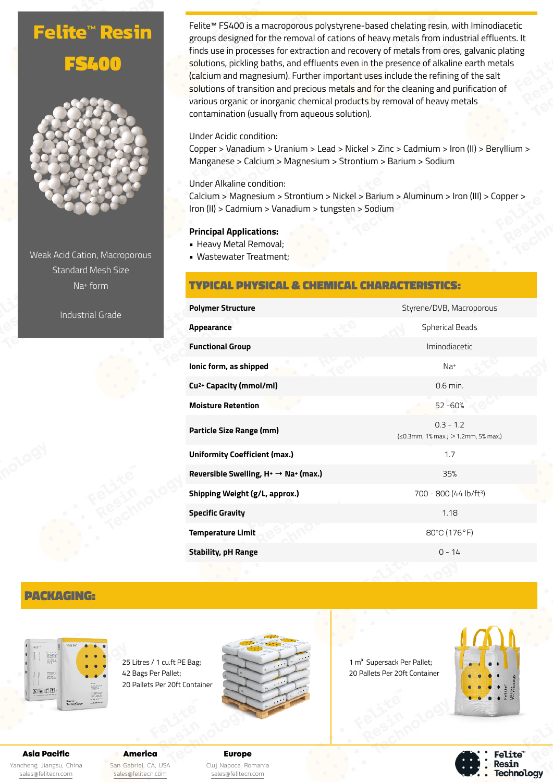# **Felite™ Resin** FS400



Weak Acid Cation, Macroporous Standard Mesh Size Na+ form

Industrial Grade

Felite™ FS400 is a macroporous polystyrene-based chelating resin, with Iminodiacetic groups designed for the removal of cations of heavy metals from industrial effluents. It finds use in processes for extraction and recovery of metals from ores, galvanic plating solutions, pickling baths, and effluents even in the presence of alkaline earth metals (calcium and magnesium). Further important uses include the refining of the salt solutions of transition and precious metals and for the cleaning and purification of various organic or inorganic chemical products by removal of heavy metals contamination (usually from aqueous solution).

#### Under Acidic condition:

Copper > Vanadium > Uranium > Lead > Nickel > Zinc > Cadmium > Iron (II) > Beryllium > Manganese > Calcium > Magnesium > Strontium > Barium > Sodium

Under Alkaline condition:

Calcium > Magnesium > Strontium > Nickel > Barium > Aluminum > Iron (III) > Copper > Iron (II) > Cadmium > Vanadium > tungsten > Sodium

#### **Principal Applications:**

- Heavy Metal Removal;
- Wastewater Treatment;

## TYPICAL PHYSICAL & CHEMICAL CHARACTERISTICS:

| <b>Spherical Beads</b><br>Iminodiacetic<br>Na <sup>+</sup><br>$0.6$ min.<br>52 - 60%<br>$0.3 - 1.2$<br>(≤0.3mm, 1% max.; > 1.2mm, 5% max.)<br>1.7<br>35%<br>700 - 800 (44 lb/ft <sup>3</sup> )<br>1.18<br>80°C (176°F)<br>$0 - 14$ | <b>Polymer Structure</b>                           | Styrene/DVB, Macroporous |
|------------------------------------------------------------------------------------------------------------------------------------------------------------------------------------------------------------------------------------|----------------------------------------------------|--------------------------|
|                                                                                                                                                                                                                                    | <b>Appearance</b>                                  |                          |
|                                                                                                                                                                                                                                    | <b>Functional Group</b>                            |                          |
|                                                                                                                                                                                                                                    | lonic form, as shipped                             |                          |
|                                                                                                                                                                                                                                    | Cu <sup>2+</sup> Capacity (mmol/ml)                |                          |
|                                                                                                                                                                                                                                    | <b>Moisture Retention</b>                          |                          |
|                                                                                                                                                                                                                                    | Particle Size Range (mm)                           |                          |
|                                                                                                                                                                                                                                    | <b>Uniformity Coefficient (max.)</b>               |                          |
|                                                                                                                                                                                                                                    | Reversible Swelling, $H^+ \rightarrow Na^+$ (max.) |                          |
|                                                                                                                                                                                                                                    | Shipping Weight (g/L, approx.)                     |                          |
|                                                                                                                                                                                                                                    | <b>Specific Gravity</b>                            |                          |
|                                                                                                                                                                                                                                    | <b>Temperature Limit</b>                           |                          |
|                                                                                                                                                                                                                                    | <b>Stability, pH Range</b>                         |                          |

# PACKAGING:



25 Litres / 1 cu.ft PE Bag; 42 Bags Per Pallet; 20 Pallets Per 20ft Container



1 m<sup>3</sup> Supersack Per Pallet; 20 Pallets Per 20ft Container



**Felite**" Resin **Technology** 

Asia Pacific Yancheng, Jiangsu, China [sales@felitecn.com](mailto:sales@felitecn.com)

America San Gabriel, CA, USA [sales@felitecn.com](mailto:sales@felitecn.com)

Europe Cluj Napoca, Romania [sales@felitecn.com](mailto:sales@felitecn.com)